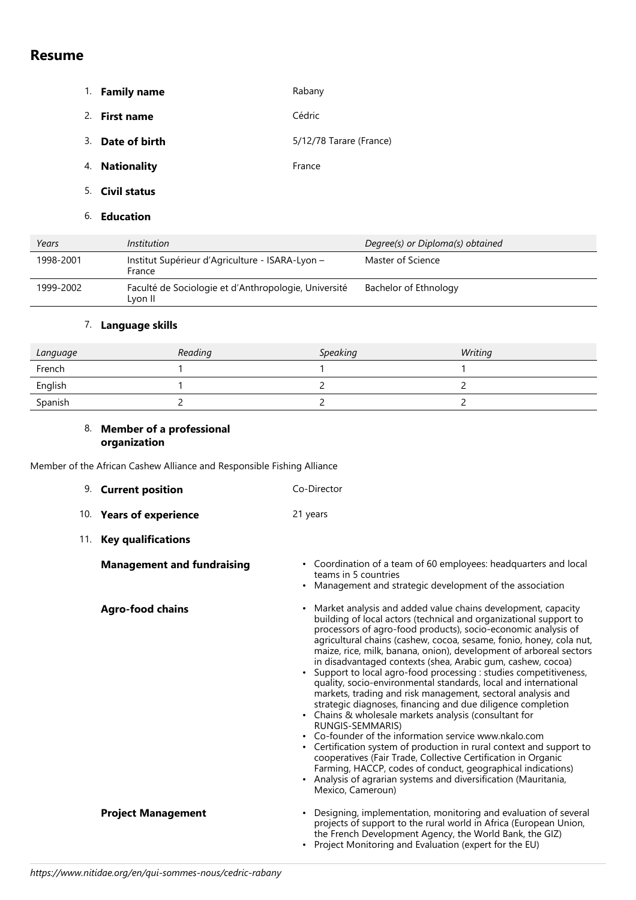# **Resume**

- 1. **Family name** Rabany
- 2. **First name** Cédric
- 3. **Date of birth** 5/12/78 Tarare (France)
- 4. **Nationality France**
- 5. **Civil status**
- 6. **Education**

| Years     | Institution                                                     | Degree(s) or Diploma(s) obtained |
|-----------|-----------------------------------------------------------------|----------------------------------|
| 1998-2001 | Institut Supérieur d'Agriculture - ISARA-Lyon -<br>France       | Master of Science                |
| 1999-2002 | Faculté de Sociologie et d'Anthropologie, Université<br>Lvon II | Bachelor of Ethnology            |

### 7. **Language skills**

| Language | Reading | <b>Speaking</b> | Writing |
|----------|---------|-----------------|---------|
| French   |         |                 |         |
| English  |         |                 |         |
| Spanish  |         |                 |         |

#### 8. **Member of a professional organization**

Member of the African Cashew Alliance and Responsible Fishing Alliance

| 9. Current position               | Co-Director                                                                                                                                                                                                                                                                                                                                                                                                                                                                                                                                                                                                                                                                                                                                                                                                                                                                                                                                                                                                                                                                                                                          |  |  |
|-----------------------------------|--------------------------------------------------------------------------------------------------------------------------------------------------------------------------------------------------------------------------------------------------------------------------------------------------------------------------------------------------------------------------------------------------------------------------------------------------------------------------------------------------------------------------------------------------------------------------------------------------------------------------------------------------------------------------------------------------------------------------------------------------------------------------------------------------------------------------------------------------------------------------------------------------------------------------------------------------------------------------------------------------------------------------------------------------------------------------------------------------------------------------------------|--|--|
| 10. Years of experience           | 21 years                                                                                                                                                                                                                                                                                                                                                                                                                                                                                                                                                                                                                                                                                                                                                                                                                                                                                                                                                                                                                                                                                                                             |  |  |
| 11. Key qualifications            |                                                                                                                                                                                                                                                                                                                                                                                                                                                                                                                                                                                                                                                                                                                                                                                                                                                                                                                                                                                                                                                                                                                                      |  |  |
| <b>Management and fundraising</b> | • Coordination of a team of 60 employees: headquarters and local<br>teams in 5 countries<br>Management and strategic development of the association                                                                                                                                                                                                                                                                                                                                                                                                                                                                                                                                                                                                                                                                                                                                                                                                                                                                                                                                                                                  |  |  |
| <b>Agro-food chains</b>           | Market analysis and added value chains development, capacity<br>building of local actors (technical and organizational support to<br>processors of agro-food products), socio-economic analysis of<br>agricultural chains (cashew, cocoa, sesame, fonio, honey, cola nut,<br>maize, rice, milk, banana, onion), development of arboreal sectors<br>in disadvantaged contexts (shea, Arabic gum, cashew, cocoa)<br>Support to local agro-food processing : studies competitiveness,<br>$\bullet$<br>quality, socio-environmental standards, local and international<br>markets, trading and risk management, sectoral analysis and<br>strategic diagnoses, financing and due diligence completion<br>• Chains & wholesale markets analysis (consultant for<br>RUNGIS-SEMMARIS)<br>• Co-founder of the information service www.nkalo.com<br>Certification system of production in rural context and support to<br>cooperatives (Fair Trade, Collective Certification in Organic<br>Farming, HACCP, codes of conduct, geographical indications)<br>• Analysis of agrarian systems and diversification (Mauritania,<br>Mexico, Cameroun) |  |  |
| <b>Project Management</b>         | Designing, implementation, monitoring and evaluation of several<br>projects of support to the rural world in Africa (European Union,<br>the French Development Agency, the World Bank, the GIZ)<br>Project Monitoring and Evaluation (expert for the EU)                                                                                                                                                                                                                                                                                                                                                                                                                                                                                                                                                                                                                                                                                                                                                                                                                                                                             |  |  |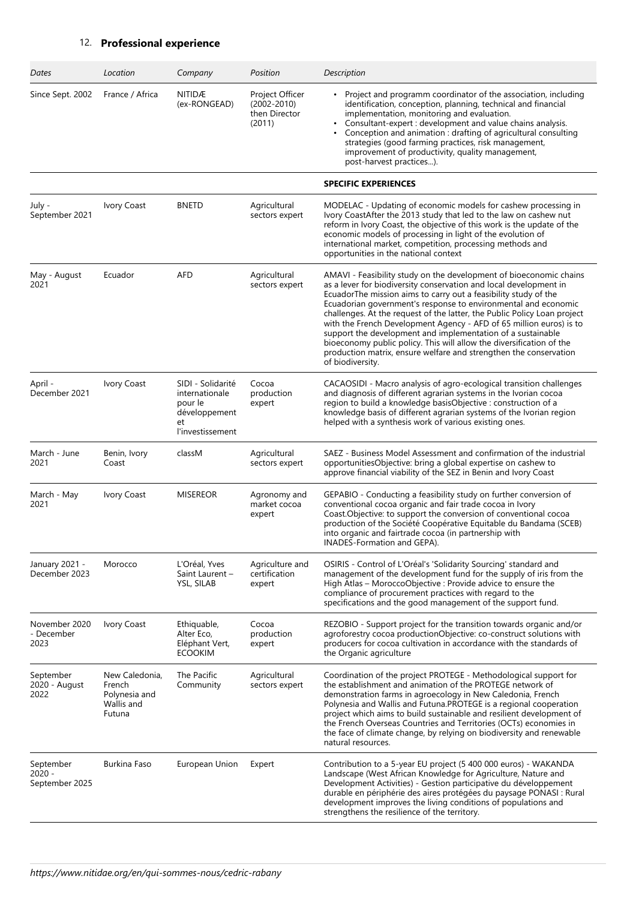## 12. **Professional experience**

| Dates                                 | Location                                                          | Company                                                                                   | Position                                                      | Description                                                                                                                                                                                                                                                                                                                                                                                                                                                                                                                                                                                                                                                     |
|---------------------------------------|-------------------------------------------------------------------|-------------------------------------------------------------------------------------------|---------------------------------------------------------------|-----------------------------------------------------------------------------------------------------------------------------------------------------------------------------------------------------------------------------------------------------------------------------------------------------------------------------------------------------------------------------------------------------------------------------------------------------------------------------------------------------------------------------------------------------------------------------------------------------------------------------------------------------------------|
| Since Sept. 2002                      | France / Africa                                                   | NITIDÆ<br>(ex-RONGEAD)                                                                    | Project Officer<br>$(2002 - 2010)$<br>then Director<br>(2011) | Project and programm coordinator of the association, including<br>identification, conception, planning, technical and financial<br>implementation, monitoring and evaluation.<br>Consultant-expert : development and value chains analysis.<br>Conception and animation : drafting of agricultural consulting<br>٠<br>strategies (good farming practices, risk management,<br>improvement of productivity, quality management,<br>post-harvest practices).                                                                                                                                                                                                      |
|                                       |                                                                   |                                                                                           |                                                               | <b>SPECIFIC EXPERIENCES</b>                                                                                                                                                                                                                                                                                                                                                                                                                                                                                                                                                                                                                                     |
| July -<br>September 2021              | Ivory Coast                                                       | <b>BNETD</b>                                                                              | Agricultural<br>sectors expert                                | MODELAC - Updating of economic models for cashew processing in<br>Ivory CoastAfter the 2013 study that led to the law on cashew nut<br>reform in Ivory Coast, the objective of this work is the update of the<br>economic models of processing in light of the evolution of<br>international market, competition, processing methods and<br>opportunities in the national context                                                                                                                                                                                                                                                                               |
| May - August<br>2021                  | Ecuador                                                           | AFD                                                                                       | Agricultural<br>sectors expert                                | AMAVI - Feasibility study on the development of bioeconomic chains<br>as a lever for biodiversity conservation and local development in<br>EcuadorThe mission aims to carry out a feasibility study of the<br>Ecuadorian government's response to environmental and economic<br>challenges. At the request of the latter, the Public Policy Loan project<br>with the French Development Agency - AFD of 65 million euros) is to<br>support the development and implementation of a sustainable<br>bioeconomy public policy. This will allow the diversification of the<br>production matrix, ensure welfare and strengthen the conservation<br>of biodiversity. |
| April -<br>December 2021              | Ivory Coast                                                       | SIDI - Solidarité<br>internationale<br>pour le<br>développement<br>et<br>l'investissement | Cocoa<br>production<br>expert                                 | CACAOSIDI - Macro analysis of agro-ecological transition challenges<br>and diagnosis of different agrarian systems in the Ivorian cocoa<br>region to build a knowledge basisObjective : construction of a<br>knowledge basis of different agrarian systems of the Ivorian region<br>helped with a synthesis work of various existing ones.                                                                                                                                                                                                                                                                                                                      |
| March - June<br>2021                  | Benin, Ivory<br>Coast                                             | classM                                                                                    | Agricultural<br>sectors expert                                | SAEZ - Business Model Assessment and confirmation of the industrial<br>opportunitiesObjective: bring a global expertise on cashew to<br>approve financial viability of the SEZ in Benin and Ivory Coast                                                                                                                                                                                                                                                                                                                                                                                                                                                         |
| March - May<br>2021                   | Ivory Coast                                                       | <b>MISEREOR</b>                                                                           | Agronomy and<br>market cocoa<br>expert                        | GEPABIO - Conducting a feasibility study on further conversion of<br>conventional cocoa organic and fair trade cocoa in Ivory<br>Coast.Objective: to support the conversion of conventional cocoa<br>production of the Société Coopérative Equitable du Bandama (SCEB)<br>into organic and fairtrade cocoa (in partnership with<br>INADES-Formation and GEPA).                                                                                                                                                                                                                                                                                                  |
| January 2021 -<br>December 2023       | Morocco                                                           | L'Oréal, Yves<br>Saint Laurent -<br>YSL, SILAB                                            | Agriculture and<br>certification<br>expert                    | OSIRIS - Control of L'Oréal's 'Solidarity Sourcing' standard and<br>management of the development fund for the supply of iris from the<br>High Atlas - MoroccoObjective : Provide advice to ensure the<br>compliance of procurement practices with regard to the<br>specifications and the good management of the support fund.                                                                                                                                                                                                                                                                                                                                 |
| November 2020<br>- December<br>2023   | Ivory Coast                                                       | Ethiquable,<br>Alter Eco,<br>Eléphant Vert,<br><b>ECOOKIM</b>                             | Cocoa<br>production<br>expert                                 | REZOBIO - Support project for the transition towards organic and/or<br>agroforestry cocoa productionObjective: co-construct solutions with<br>producers for cocoa cultivation in accordance with the standards of<br>the Organic agriculture                                                                                                                                                                                                                                                                                                                                                                                                                    |
| September<br>2020 - August<br>2022    | New Caledonia,<br>French<br>Polynesia and<br>Wallis and<br>Futuna | The Pacific<br>Community                                                                  | Agricultural<br>sectors expert                                | Coordination of the project PROTEGE - Methodological support for<br>the establishment and animation of the PROTEGE network of<br>demonstration farms in agroecology in New Caledonia, French<br>Polynesia and Wallis and Futuna.PROTEGE is a regional cooperation<br>project which aims to build sustainable and resilient development of<br>the French Overseas Countries and Territories (OCTs) economies in<br>the face of climate change, by relying on biodiversity and renewable<br>natural resources.                                                                                                                                                    |
| September<br>2020 -<br>September 2025 | Burkina Faso                                                      | European Union                                                                            | Expert                                                        | Contribution to a 5-year EU project (5 400 000 euros) - WAKANDA<br>Landscape (West African Knowledge for Agriculture, Nature and<br>Development Activities) - Gestion participative du développement<br>durable en périphérie des aires protégées du paysage PONASI : Rural<br>development improves the living conditions of populations and<br>strengthens the resilience of the territory.                                                                                                                                                                                                                                                                    |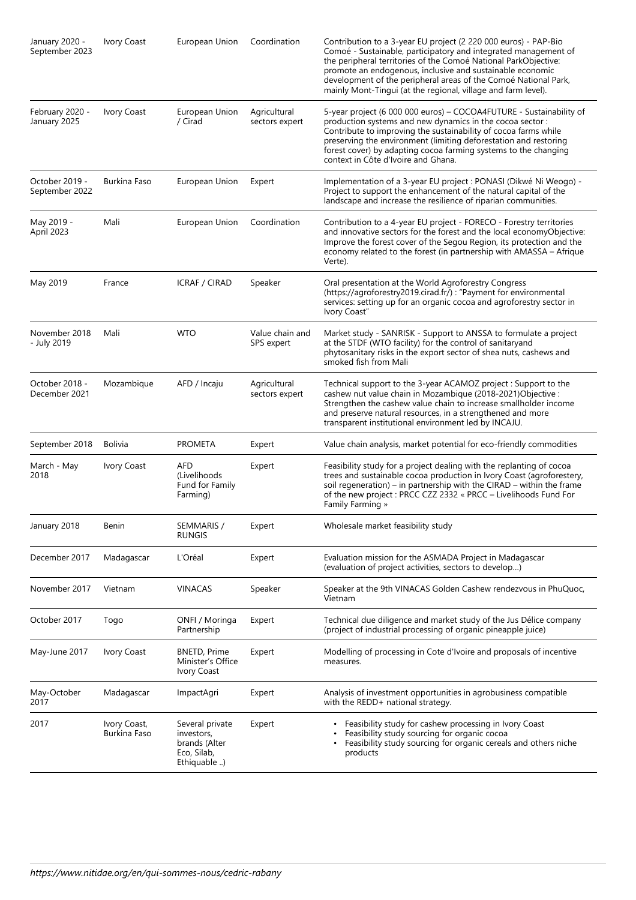| January 2020 -<br>September 2023 | Ivory Coast                  | European Union                                                               | Coordination                   | Contribution to a 3-year EU project (2 220 000 euros) - PAP-Bio<br>Comoé - Sustainable, participatory and integrated management of<br>the peripheral territories of the Comoé National ParkObjective:<br>promote an endogenous, inclusive and sustainable economic<br>development of the peripheral areas of the Comoé National Park,<br>mainly Mont-Tingui (at the regional, village and farm level). |
|----------------------------------|------------------------------|------------------------------------------------------------------------------|--------------------------------|--------------------------------------------------------------------------------------------------------------------------------------------------------------------------------------------------------------------------------------------------------------------------------------------------------------------------------------------------------------------------------------------------------|
| February 2020 -<br>January 2025  | Ivory Coast                  | European Union<br>/ Cirad                                                    | Agricultural<br>sectors expert | 5-year project (6 000 000 euros) - COCOA4FUTURE - Sustainability of<br>production systems and new dynamics in the cocoa sector:<br>Contribute to improving the sustainability of cocoa farms while<br>preserving the environment (limiting deforestation and restoring<br>forest cover) by adapting cocoa farming systems to the changing<br>context in Côte d'Ivoire and Ghana.                       |
| October 2019 -<br>September 2022 | Burkina Faso                 | European Union                                                               | Expert                         | Implementation of a 3-year EU project : PONASI (Dikwé Ni Weogo) -<br>Project to support the enhancement of the natural capital of the<br>landscape and increase the resilience of riparian communities.                                                                                                                                                                                                |
| May 2019 -<br>April 2023         | Mali                         | European Union                                                               | Coordination                   | Contribution to a 4-year EU project - FORECO - Forestry territories<br>and innovative sectors for the forest and the local economyObjective:<br>Improve the forest cover of the Segou Region, its protection and the<br>economy related to the forest (in partnership with AMASSA - Afrique<br>Verte).                                                                                                 |
| May 2019                         | France                       | <b>ICRAF / CIRAD</b>                                                         | Speaker                        | Oral presentation at the World Agroforestry Congress<br>(https://agroforestry2019.cirad.fr/) : "Payment for environmental<br>services: setting up for an organic cocoa and agroforestry sector in<br>Ivory Coast"                                                                                                                                                                                      |
| November 2018<br>- July 2019     | Mali                         | <b>WTO</b>                                                                   | Value chain and<br>SPS expert  | Market study - SANRISK - Support to ANSSA to formulate a project<br>at the STDF (WTO facility) for the control of sanitaryand<br>phytosanitary risks in the export sector of shea nuts, cashews and<br>smoked fish from Mali                                                                                                                                                                           |
| October 2018 -<br>December 2021  | Mozambique                   | AFD / Incaju                                                                 | Agricultural<br>sectors expert | Technical support to the 3-year ACAMOZ project: Support to the<br>cashew nut value chain in Mozambique (2018-2021)Objective :<br>Strengthen the cashew value chain to increase smallholder income<br>and preserve natural resources, in a strengthened and more<br>transparent institutional environment led by INCAJU.                                                                                |
| September 2018                   | <b>Bolivia</b>               | <b>PROMETA</b>                                                               | Expert                         | Value chain analysis, market potential for eco-friendly commodities                                                                                                                                                                                                                                                                                                                                    |
| March - May<br>2018              | Ivory Coast                  | <b>AFD</b><br>(Livelihoods<br>Fund for Family<br>Farming)                    | Expert                         | Feasibility study for a project dealing with the replanting of cocoa<br>trees and sustainable cocoa production in Ivory Coast (agroforestery,<br>soil regeneration) – in partnership with the CIRAD – within the frame<br>of the new project : PRCC CZZ 2332 « PRCC - Livelihoods Fund For<br>Family Farming »                                                                                         |
| January 2018                     | Benin                        | SEMMARIS /<br><b>RUNGIS</b>                                                  | Expert                         | Wholesale market feasibility study                                                                                                                                                                                                                                                                                                                                                                     |
| December 2017                    | Madagascar                   | L'Oréal                                                                      | Expert                         | Evaluation mission for the ASMADA Project in Madagascar<br>(evaluation of project activities, sectors to develop)                                                                                                                                                                                                                                                                                      |
| November 2017                    | Vietnam                      | <b>VINACAS</b>                                                               | Speaker                        | Speaker at the 9th VINACAS Golden Cashew rendezvous in PhuQuoc,<br>Vietnam                                                                                                                                                                                                                                                                                                                             |
| October 2017                     | Togo                         | ONFI / Moringa<br>Partnership                                                | Expert                         | Technical due diligence and market study of the Jus Délice company<br>(project of industrial processing of organic pineapple juice)                                                                                                                                                                                                                                                                    |
| May-June 2017                    | Ivory Coast                  | <b>BNETD, Prime</b><br>Minister's Office<br>Ivory Coast                      | Expert                         | Modelling of processing in Cote d'Ivoire and proposals of incentive<br>measures.                                                                                                                                                                                                                                                                                                                       |
| May-October<br>2017              | Madagascar                   | ImpactAgri                                                                   | Expert                         | Analysis of investment opportunities in agrobusiness compatible<br>with the REDD+ national strategy.                                                                                                                                                                                                                                                                                                   |
| 2017                             | Ivory Coast,<br>Burkina Faso | Several private<br>investors,<br>brands (Alter<br>Eco, Silab,<br>Ethiquable) | Expert                         | • Feasibility study for cashew processing in Ivory Coast<br>Feasibility study sourcing for organic cocoa<br>Feasibility study sourcing for organic cereals and others niche<br>products                                                                                                                                                                                                                |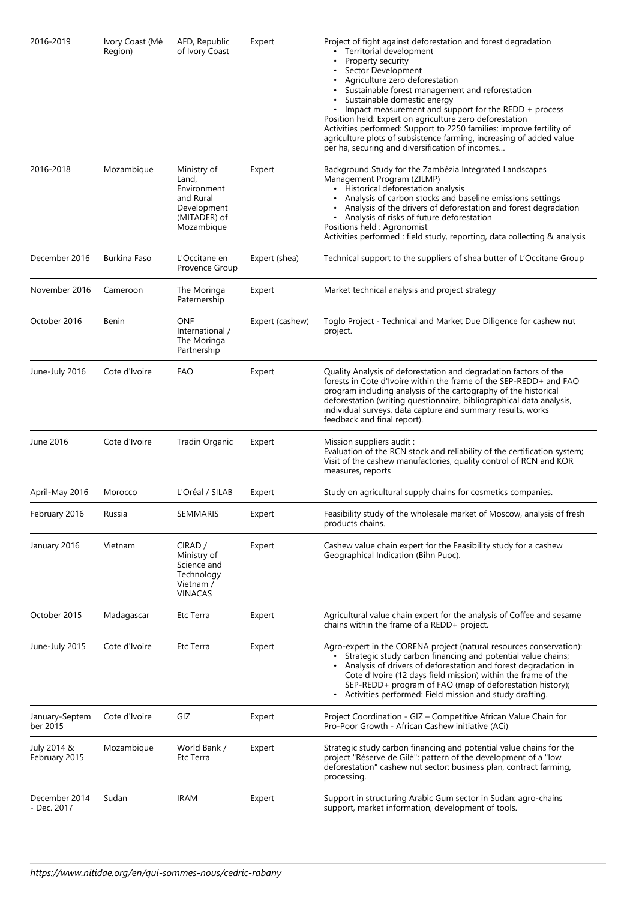| 2016-2019                    | Ivory Coast (Mé<br>Region) | AFD, Republic<br>of Ivory Coast                                                               | Expert          | Project of fight against deforestation and forest degradation<br>Territorial development<br>Property security<br>Sector Development<br>Agriculture zero deforestation<br>Sustainable forest management and reforestation<br>Sustainable domestic energy<br>• Impact measurement and support for the REDD + process<br>Position held: Expert on agriculture zero deforestation<br>Activities performed: Support to 2250 families: improve fertility of<br>agriculture plots of subsistence farming, increasing of added value<br>per ha, securing and diversification of incomes |
|------------------------------|----------------------------|-----------------------------------------------------------------------------------------------|-----------------|---------------------------------------------------------------------------------------------------------------------------------------------------------------------------------------------------------------------------------------------------------------------------------------------------------------------------------------------------------------------------------------------------------------------------------------------------------------------------------------------------------------------------------------------------------------------------------|
| 2016-2018                    | Mozambique                 | Ministry of<br>Land,<br>Environment<br>and Rural<br>Development<br>(MITADER) of<br>Mozambique | Expert          | Background Study for the Zambézia Integrated Landscapes<br>Management Program (ZILMP)<br>• Historical deforestation analysis<br>• Analysis of carbon stocks and baseline emissions settings<br>• Analysis of the drivers of deforestation and forest degradation<br>• Analysis of risks of future deforestation<br>Positions held : Agronomist<br>Activities performed : field study, reporting, data collecting & analysis                                                                                                                                                     |
| December 2016                | Burkina Faso               | L'Occitane en<br>Provence Group                                                               | Expert (shea)   | Technical support to the suppliers of shea butter of L'Occitane Group                                                                                                                                                                                                                                                                                                                                                                                                                                                                                                           |
| November 2016                | Cameroon                   | The Moringa<br>Paternership                                                                   | Expert          | Market technical analysis and project strategy                                                                                                                                                                                                                                                                                                                                                                                                                                                                                                                                  |
| October 2016                 | Benin                      | <b>ONF</b><br>International /<br>The Moringa<br>Partnership                                   | Expert (cashew) | Toglo Project - Technical and Market Due Diligence for cashew nut<br>project.                                                                                                                                                                                                                                                                                                                                                                                                                                                                                                   |
| June-July 2016               | Cote d'Ivoire              | FAO                                                                                           | Expert          | Quality Analysis of deforestation and degradation factors of the<br>forests in Cote d'Ivoire within the frame of the SEP-REDD+ and FAO<br>program including analysis of the cartography of the historical<br>deforestation (writing questionnaire, bibliographical data analysis,<br>individual surveys, data capture and summary results, works<br>feedback and final report).                                                                                                                                                                                                 |
| June 2016                    | Cote d'Ivoire              | Tradin Organic                                                                                | Expert          | Mission suppliers audit:<br>Evaluation of the RCN stock and reliability of the certification system;<br>Visit of the cashew manufactories, quality control of RCN and KOR<br>measures, reports                                                                                                                                                                                                                                                                                                                                                                                  |
| April-May 2016               | Morocco                    | L'Oréal / SILAB                                                                               | Expert          | Study on agricultural supply chains for cosmetics companies.                                                                                                                                                                                                                                                                                                                                                                                                                                                                                                                    |
| February 2016                | Russia                     | SEMMARIS                                                                                      | Expert          | Feasibility study of the wholesale market of Moscow, analysis of fresh<br>products chains.                                                                                                                                                                                                                                                                                                                                                                                                                                                                                      |
| January 2016                 | Vietnam                    | CIRAD /<br>Ministry of<br>Science and<br>Technology<br>Vietnam /<br><b>VINACAS</b>            | Expert          | Cashew value chain expert for the Feasibility study for a cashew<br>Geographical Indication (Bihn Puoc).                                                                                                                                                                                                                                                                                                                                                                                                                                                                        |
| October 2015                 | Madagascar                 | Etc Terra                                                                                     | Expert          | Agricultural value chain expert for the analysis of Coffee and sesame<br>chains within the frame of a REDD+ project.                                                                                                                                                                                                                                                                                                                                                                                                                                                            |
| June-July 2015               | Cote d'Ivoire              | Etc Terra                                                                                     | Expert          | Agro-expert in the CORENA project (natural resources conservation):<br>Strategic study carbon financing and potential value chains;<br>Analysis of drivers of deforestation and forest degradation in<br>Cote d'Ivoire (12 days field mission) within the frame of the<br>SEP-REDD+ program of FAO (map of deforestation history);<br>• Activities performed: Field mission and study drafting.                                                                                                                                                                                 |
| January-Septem<br>ber 2015   | Cote d'Ivoire              | GIZ                                                                                           | Expert          | Project Coordination - GIZ - Competitive African Value Chain for<br>Pro-Poor Growth - African Cashew initiative (ACi)                                                                                                                                                                                                                                                                                                                                                                                                                                                           |
| July 2014 &<br>February 2015 | Mozambique                 | World Bank /<br>Etc Terra                                                                     | Expert          | Strategic study carbon financing and potential value chains for the<br>project "Réserve de Gilé": pattern of the development of a "low<br>deforestation" cashew nut sector: business plan, contract farming,<br>processing.                                                                                                                                                                                                                                                                                                                                                     |
| December 2014<br>- Dec. 2017 | Sudan                      | <b>IRAM</b>                                                                                   | Expert          | Support in structuring Arabic Gum sector in Sudan: agro-chains<br>support, market information, development of tools.                                                                                                                                                                                                                                                                                                                                                                                                                                                            |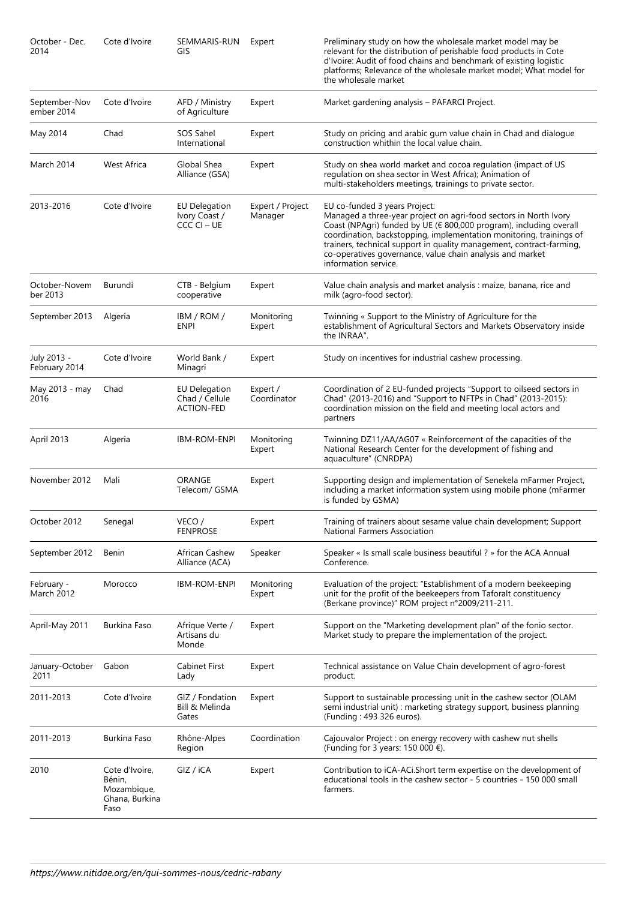| October - Dec.<br>2014          | Cote d'Ivoire                                                     | SEMMARIS-RUN<br>GIS                                         | Expert                      | Preliminary study on how the wholesale market model may be<br>relevant for the distribution of perishable food products in Cote<br>d'Ivoire: Audit of food chains and benchmark of existing logistic<br>platforms; Relevance of the wholesale market model; What model for<br>the wholesale market                                                                                                          |
|---------------------------------|-------------------------------------------------------------------|-------------------------------------------------------------|-----------------------------|-------------------------------------------------------------------------------------------------------------------------------------------------------------------------------------------------------------------------------------------------------------------------------------------------------------------------------------------------------------------------------------------------------------|
| September-Nov<br>ember 2014     | Cote d'Ivoire                                                     | AFD / Ministry<br>of Agriculture                            | Expert                      | Market gardening analysis - PAFARCI Project.                                                                                                                                                                                                                                                                                                                                                                |
| May 2014                        | Chad                                                              | SOS Sahel<br>International                                  | Expert                      | Study on pricing and arabic gum value chain in Chad and dialogue<br>construction whithin the local value chain.                                                                                                                                                                                                                                                                                             |
| March 2014                      | <b>West Africa</b>                                                | Global Shea<br>Alliance (GSA)                               | Expert                      | Study on shea world market and cocoa regulation (impact of US<br>regulation on shea sector in West Africa); Animation of<br>multi-stakeholders meetings, trainings to private sector.                                                                                                                                                                                                                       |
| 2013-2016                       | Cote d'Ivoire                                                     | EU Delegation<br>Ivory Coast /<br>CCCCI – UE                | Expert / Project<br>Manager | EU co-funded 3 years Project:<br>Managed a three-year project on agri-food sectors in North Ivory<br>Coast (NPAgri) funded by UE (€ 800,000 program), including overall<br>coordination, backstopping, implementation monitoring, trainings of<br>trainers, technical support in quality management, contract-farming,<br>co-operatives governance, value chain analysis and market<br>information service. |
| October-Novem<br>ber 2013       | Burundi                                                           | CTB - Belgium<br>cooperative                                | Expert                      | Value chain analysis and market analysis : maize, banana, rice and<br>milk (agro-food sector).                                                                                                                                                                                                                                                                                                              |
| September 2013                  | Algeria                                                           | IBM / ROM /<br><b>ENPI</b>                                  | Monitoring<br>Expert        | Twinning « Support to the Ministry of Agriculture for the<br>establishment of Agricultural Sectors and Markets Observatory inside<br>the INRAA".                                                                                                                                                                                                                                                            |
| July 2013 -<br>February 2014    | Cote d'Ivoire                                                     | World Bank /<br>Minagri                                     | Expert                      | Study on incentives for industrial cashew processing.                                                                                                                                                                                                                                                                                                                                                       |
| May 2013 - may<br>2016          | Chad                                                              | <b>EU Delegation</b><br>Chad / Cellule<br><b>ACTION-FED</b> | Expert /<br>Coordinator     | Coordination of 2 EU-funded projects "Support to oilseed sectors in<br>Chad" (2013-2016) and "Support to NFTPs in Chad" (2013-2015):<br>coordination mission on the field and meeting local actors and<br>partners                                                                                                                                                                                          |
| April 2013                      | Algeria                                                           | <b>IBM-ROM-ENPI</b>                                         | Monitoring<br>Expert        | Twinning DZ11/AA/AG07 « Reinforcement of the capacities of the<br>National Research Center for the development of fishing and<br>aquaculture" (CNRDPA)                                                                                                                                                                                                                                                      |
| November 2012                   | Mali                                                              | ORANGE<br>Telecom/ GSMA                                     | Expert                      | Supporting design and implementation of Senekela mFarmer Project,<br>including a market information system using mobile phone (mFarmer<br>is funded by GSMA)                                                                                                                                                                                                                                                |
| October 2012                    | Senegal                                                           | VECO /<br><b>FENPROSE</b>                                   | Expert                      | Training of trainers about sesame value chain development; Support<br>National Farmers Association                                                                                                                                                                                                                                                                                                          |
| September 2012                  | Benin                                                             | African Cashew<br>Alliance (ACA)                            | Speaker                     | Speaker « Is small scale business beautiful ? » for the ACA Annual<br>Conference.                                                                                                                                                                                                                                                                                                                           |
| February -<br><b>March 2012</b> | Morocco                                                           | <b>IBM-ROM-ENPI</b>                                         | Monitoring<br>Expert        | Evaluation of the project: "Establishment of a modern beekeeping<br>unit for the profit of the beekeepers from Taforalt constituency<br>(Berkane province)" ROM project n°2009/211-211.                                                                                                                                                                                                                     |
| April-May 2011                  | Burkina Faso                                                      | Afrique Verte /<br>Artisans du<br>Monde                     | Expert                      | Support on the "Marketing development plan" of the fonio sector.<br>Market study to prepare the implementation of the project.                                                                                                                                                                                                                                                                              |
| January-October<br>2011         | Gabon                                                             | Cabinet First<br>Lady                                       | Expert                      | Technical assistance on Value Chain development of agro-forest<br>product.                                                                                                                                                                                                                                                                                                                                  |
| 2011-2013                       | Cote d'Ivoire                                                     | GIZ / Fondation<br>Bill & Melinda<br>Gates                  | Expert                      | Support to sustainable processing unit in the cashew sector (OLAM<br>semi industrial unit) : marketing strategy support, business planning<br>(Funding: 493 326 euros).                                                                                                                                                                                                                                     |
| 2011-2013                       | Burkina Faso                                                      | Rhône-Alpes<br>Region                                       | Coordination                | Cajouvalor Project : on energy recovery with cashew nut shells<br>(Funding for 3 years: 150 000 $\epsilon$ ).                                                                                                                                                                                                                                                                                               |
| 2010                            | Cote d'Ivoire,<br>Bénin,<br>Mozambique,<br>Ghana, Burkina<br>Faso | GIZ / iCA                                                   | Expert                      | Contribution to iCA-ACi. Short term expertise on the development of<br>educational tools in the cashew sector - 5 countries - 150 000 small<br>farmers.                                                                                                                                                                                                                                                     |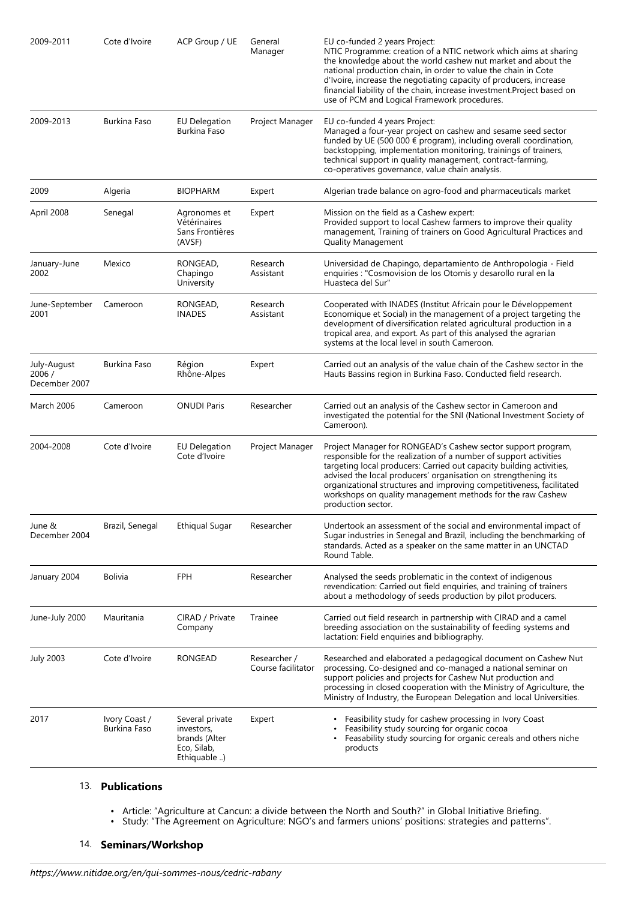| 2009-2011                              | Cote d'Ivoire                 | ACP Group / UE                                                               | General<br>Manager                 | EU co-funded 2 years Project:<br>NTIC Programme: creation of a NTIC network which aims at sharing<br>the knowledge about the world cashew nut market and about the<br>national production chain, in order to value the chain in Cote<br>d'Ivoire, increase the negotiating capacity of producers, increase<br>financial liability of the chain, increase investment. Project based on<br>use of PCM and Logical Framework procedures.   |
|----------------------------------------|-------------------------------|------------------------------------------------------------------------------|------------------------------------|-----------------------------------------------------------------------------------------------------------------------------------------------------------------------------------------------------------------------------------------------------------------------------------------------------------------------------------------------------------------------------------------------------------------------------------------|
| 2009-2013                              | Burkina Faso                  | <b>EU Delegation</b><br>Burkina Faso                                         | Project Manager                    | EU co-funded 4 years Project:<br>Managed a four-year project on cashew and sesame seed sector<br>funded by UE (500 000 € program), including overall coordination,<br>backstopping, implementation monitoring, trainings of trainers,<br>technical support in quality management, contract-farming,<br>co-operatives governance, value chain analysis.                                                                                  |
| 2009                                   | Algeria                       | <b>BIOPHARM</b>                                                              | Expert                             | Algerian trade balance on agro-food and pharmaceuticals market                                                                                                                                                                                                                                                                                                                                                                          |
| April 2008                             | Senegal                       | Agronomes et<br>Vétérinaires<br>Sans Frontières<br>(AVSF)                    | Expert                             | Mission on the field as a Cashew expert:<br>Provided support to local Cashew farmers to improve their quality<br>management, Training of trainers on Good Agricultural Practices and<br><b>Quality Management</b>                                                                                                                                                                                                                       |
| January-June<br>2002                   | Mexico                        | RONGEAD,<br>Chapingo<br>University                                           | Research<br>Assistant              | Universidad de Chapingo, departamiento de Anthropologia - Field<br>enquiries : "Cosmovision de los Otomis y desarollo rural en la<br>Huasteca del Sur"                                                                                                                                                                                                                                                                                  |
| June-September<br>2001                 | Cameroon                      | RONGEAD,<br><b>INADES</b>                                                    | Research<br>Assistant              | Cooperated with INADES (Institut Africain pour le Développement<br>Economique et Social) in the management of a project targeting the<br>development of diversification related agricultural production in a<br>tropical area, and export. As part of this analysed the agrarian<br>systems at the local level in south Cameroon.                                                                                                       |
| July-August<br>2006 /<br>December 2007 | Burkina Faso                  | Région<br>Rhône-Alpes                                                        | Expert                             | Carried out an analysis of the value chain of the Cashew sector in the<br>Hauts Bassins region in Burkina Faso. Conducted field research.                                                                                                                                                                                                                                                                                               |
| March 2006                             | Cameroon                      | ONUDI Paris                                                                  | Researcher                         | Carried out an analysis of the Cashew sector in Cameroon and<br>investigated the potential for the SNI (National Investment Society of<br>Cameroon).                                                                                                                                                                                                                                                                                    |
| 2004-2008                              | Cote d'Ivoire                 | <b>EU Delegation</b><br>Cote d'Ivoire                                        | Project Manager                    | Project Manager for RONGEAD's Cashew sector support program,<br>responsible for the realization of a number of support activities<br>targeting local producers: Carried out capacity building activities,<br>advised the local producers' organisation on strengthening its<br>organizational structures and improving competitiveness, facilitated<br>workshops on quality management methods for the raw Cashew<br>production sector. |
| June &<br>December 2004                | Brazil, Senegal               | <b>Ethiqual Sugar</b>                                                        | Researcher                         | Undertook an assessment of the social and environmental impact of<br>Sugar industries in Senegal and Brazil, including the benchmarking of<br>standards. Acted as a speaker on the same matter in an UNCTAD<br>Round Table.                                                                                                                                                                                                             |
| January 2004                           | <b>Bolivia</b>                | <b>FPH</b>                                                                   | Researcher                         | Analysed the seeds problematic in the context of indigenous<br>revendication: Carried out field enquiries, and training of trainers<br>about a methodology of seeds production by pilot producers.                                                                                                                                                                                                                                      |
| June-July 2000                         | Mauritania                    | CIRAD / Private<br>Company                                                   | Trainee                            | Carried out field research in partnership with CIRAD and a camel<br>breeding association on the sustainability of feeding systems and<br>lactation: Field enquiries and bibliography.                                                                                                                                                                                                                                                   |
| <b>July 2003</b>                       | Cote d'Ivoire                 | RONGEAD                                                                      | Researcher /<br>Course facilitator | Researched and elaborated a pedagogical document on Cashew Nut<br>processing. Co-designed and co-managed a national seminar on<br>support policies and projects for Cashew Nut production and<br>processing in closed cooperation with the Ministry of Agriculture, the<br>Ministry of Industry, the European Delegation and local Universities.                                                                                        |
| 2017                                   | Ivory Coast /<br>Burkina Faso | Several private<br>investors,<br>brands (Alter<br>Eco, Silab,<br>Ethiquable) | Expert                             | • Feasibility study for cashew processing in Ivory Coast<br>Feasibility study sourcing for organic cocoa<br>Feasability study sourcing for organic cereals and others niche<br>products                                                                                                                                                                                                                                                 |

#### 13. **Publications**

- Article: "Agriculture at Cancun: a divide between the North and South?" in Global Initiative Briefing. •
- Study: "The Agreement on Agriculture: NGO's and farmers unions' positions: strategies and patterns". •

## 14. **Seminars/Workshop**